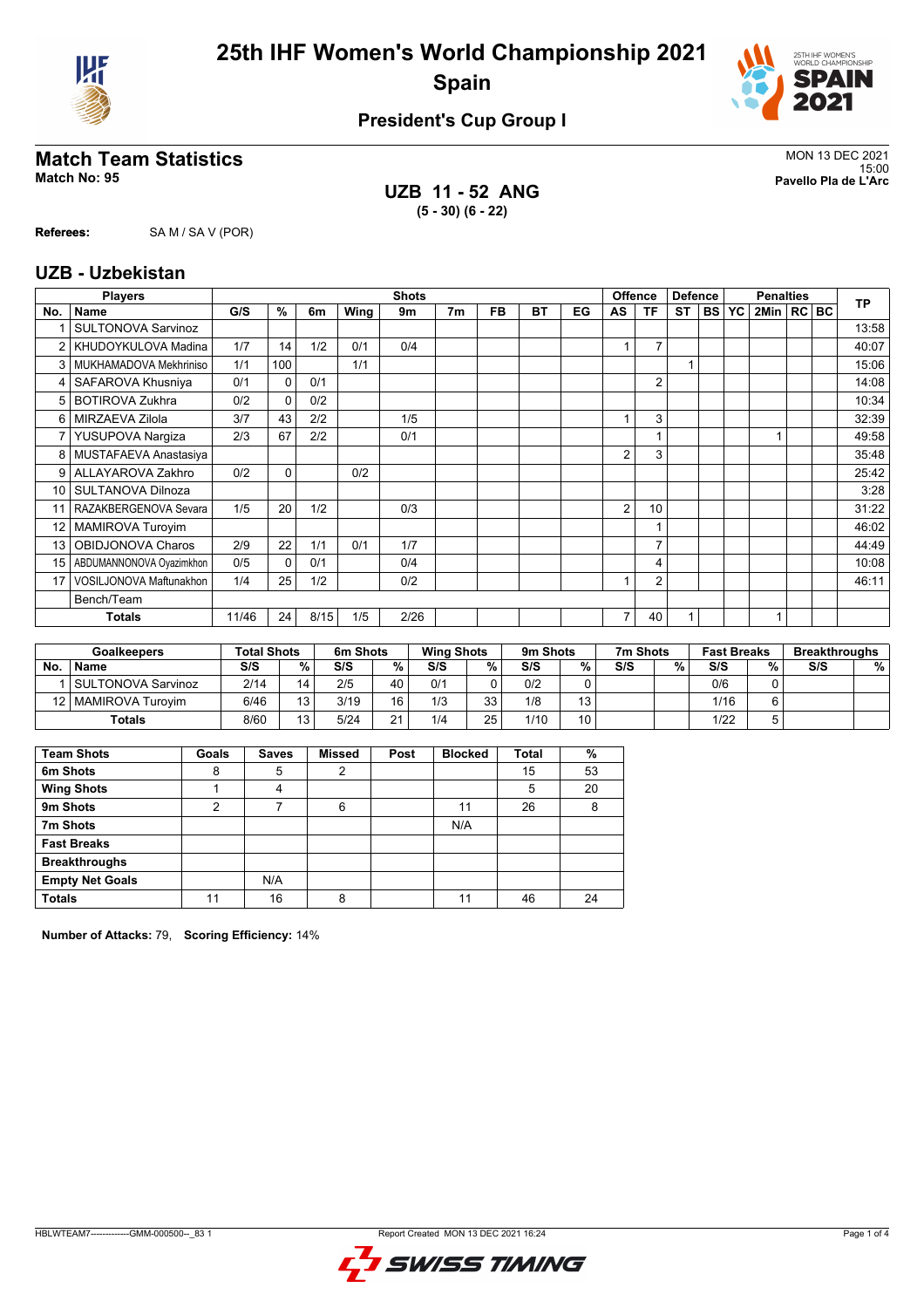



#### **President's Cup Group I**

### **Match Team Statistics** MON 13 DEC 2021

**UZB 11 - 52 ANG (5 - 30) (6 - 22)**

15:00 **Match No: 95 Pavello Pla de L'Arc**

**Referees:** SA M / SA V (POR)

#### **UZB - Uzbekistan**

|                 | <b>Players</b>            |       |              |      |      | <b>Shots</b> |                |           |           |    |                | <b>Offence</b> | <b>Defence</b> |           |           | <b>Penalties</b> |  | <b>TP</b> |
|-----------------|---------------------------|-------|--------------|------|------|--------------|----------------|-----------|-----------|----|----------------|----------------|----------------|-----------|-----------|------------------|--|-----------|
| No.             | <b>Name</b>               | G/S   | $\%$         | 6m   | Wing | 9m           | 7 <sub>m</sub> | <b>FB</b> | <b>BT</b> | EG | AS             | <b>TF</b>      | <b>ST</b>      | <b>BS</b> | <b>YC</b> | 2Min   RC   BC   |  |           |
|                 | <b>SULTONOVA Sarvinoz</b> |       |              |      |      |              |                |           |           |    |                |                |                |           |           |                  |  | 13:58     |
|                 | KHUDOYKULOVA Madina       | 1/7   | 14           | 1/2  | 0/1  | 0/4          |                |           |           |    |                | $\overline{7}$ |                |           |           |                  |  | 40:07     |
| 3               | MUKHAMADOVA Mekhriniso    | 1/1   | 100          |      | 1/1  |              |                |           |           |    |                |                | 1              |           |           |                  |  | 15:06     |
| 4               | SAFAROVA Khusniya         | 0/1   | $\Omega$     | 0/1  |      |              |                |           |           |    |                | $\overline{2}$ |                |           |           |                  |  | 14:08     |
| 5               | <b>BOTIROVA Zukhra</b>    | 0/2   | $\Omega$     | 0/2  |      |              |                |           |           |    |                |                |                |           |           |                  |  | 10:34     |
| 6               | MIRZAEVA Zilola           | 3/7   | 43           | 2/2  |      | 1/5          |                |           |           |    |                | 3              |                |           |           |                  |  | 32:39     |
| 7               | YUSUPOVA Nargiza          | 2/3   | 67           | 2/2  |      | 0/1          |                |           |           |    |                |                |                |           |           |                  |  | 49:58     |
| 8               | MUSTAFAEVA Anastasiya     |       |              |      |      |              |                |           |           |    | $\overline{2}$ | 3              |                |           |           |                  |  | 35:48     |
| 9 <sup>1</sup>  | ALLAYAROVA Zakhro         | 0/2   | $\mathbf{0}$ |      | 0/2  |              |                |           |           |    |                |                |                |           |           |                  |  | 25:42     |
| 10 <sup>1</sup> | <b>SULTANOVA Dilnoza</b>  |       |              |      |      |              |                |           |           |    |                |                |                |           |           |                  |  | 3:28      |
| 11              | RAZAKBERGENOVA Sevara     | 1/5   | 20           | 1/2  |      | 0/3          |                |           |           |    | $\overline{2}$ | 10             |                |           |           |                  |  | 31:22     |
| 12 <sup>°</sup> | <b>MAMIROVA Turoyim</b>   |       |              |      |      |              |                |           |           |    |                |                |                |           |           |                  |  | 46:02     |
| 13              | <b>OBIDJONOVA Charos</b>  | 2/9   | 22           | 1/1  | 0/1  | 1/7          |                |           |           |    |                | $\overline{7}$ |                |           |           |                  |  | 44:49     |
| 15              | ABDUMANNONOVA Oyazimkhon  | 0/5   | $\Omega$     | 0/1  |      | 0/4          |                |           |           |    |                | 4              |                |           |           |                  |  | 10:08     |
| 17              | VOSILJONOVA Maftunakhon   | 1/4   | 25           | 1/2  |      | 0/2          |                |           |           |    |                | $\overline{2}$ |                |           |           |                  |  | 46:11     |
|                 | Bench/Team                |       |              |      |      |              |                |           |           |    |                |                |                |           |           |                  |  |           |
|                 | <b>Totals</b>             | 11/46 | 24           | 8/15 | 1/5  | 2/26         |                |           |           |    | 7              | 40             | 1              |           |           |                  |  |           |
|                 |                           |       |              |      |      |              |                |           |           |    |                |                |                |           |           |                  |  |           |

|           | <b>Goalkeepers</b>    | <b>Total Shots</b> |                 | 6m Shots |    | <b>Wing Shots</b> |          | 9m Shots |    | 7m Shots |   | <b>Fast Breaks</b> |   | <b>Breakthroughs</b> |   |
|-----------|-----------------------|--------------------|-----------------|----------|----|-------------------|----------|----------|----|----------|---|--------------------|---|----------------------|---|
| <b>No</b> | <b>Name</b>           | S/S                | %.              | S/S      | %  | S/S               | %        | S/S      | %  | S/S      | % | S/S                | % | S/S                  | % |
|           | SULTONOVA Sarvinoz    | 2/14               | 14              | 2/5      | 40 | 0/1               |          | 0/2      |    |          |   | 0/6                |   |                      |   |
|           | 12   MAMIROVA Turovim | 6/46               | 13              | 3/19     | 16 | 1/3               | วว<br>ںر | 1/8      | 13 |          |   | 1/16               |   |                      |   |
|           | Totals                | 8/60               | 13 <sub>1</sub> | 5/24     | 21 | 1/4               | 25       | 1/10     | 10 |          |   | 1/22               |   |                      |   |

| <b>Team Shots</b>      | Goals | <b>Saves</b> | <b>Missed</b> | Post | <b>Blocked</b> | <b>Total</b> | %  |
|------------------------|-------|--------------|---------------|------|----------------|--------------|----|
| 6m Shots               | 8     | 5            | 2             |      |                | 15           | 53 |
| <b>Wing Shots</b>      |       | 4            |               |      |                | 5            | 20 |
| 9m Shots               | 2     |              | 6             |      | 11             | 26           | 8  |
| 7m Shots               |       |              |               |      | N/A            |              |    |
| <b>Fast Breaks</b>     |       |              |               |      |                |              |    |
| <b>Breakthroughs</b>   |       |              |               |      |                |              |    |
| <b>Empty Net Goals</b> |       | N/A          |               |      |                |              |    |
| <b>Totals</b>          | 11    | 16           | 8             |      | 11             | 46           | 24 |

**Number of Attacks:** 79, **Scoring Efficiency:** 14%

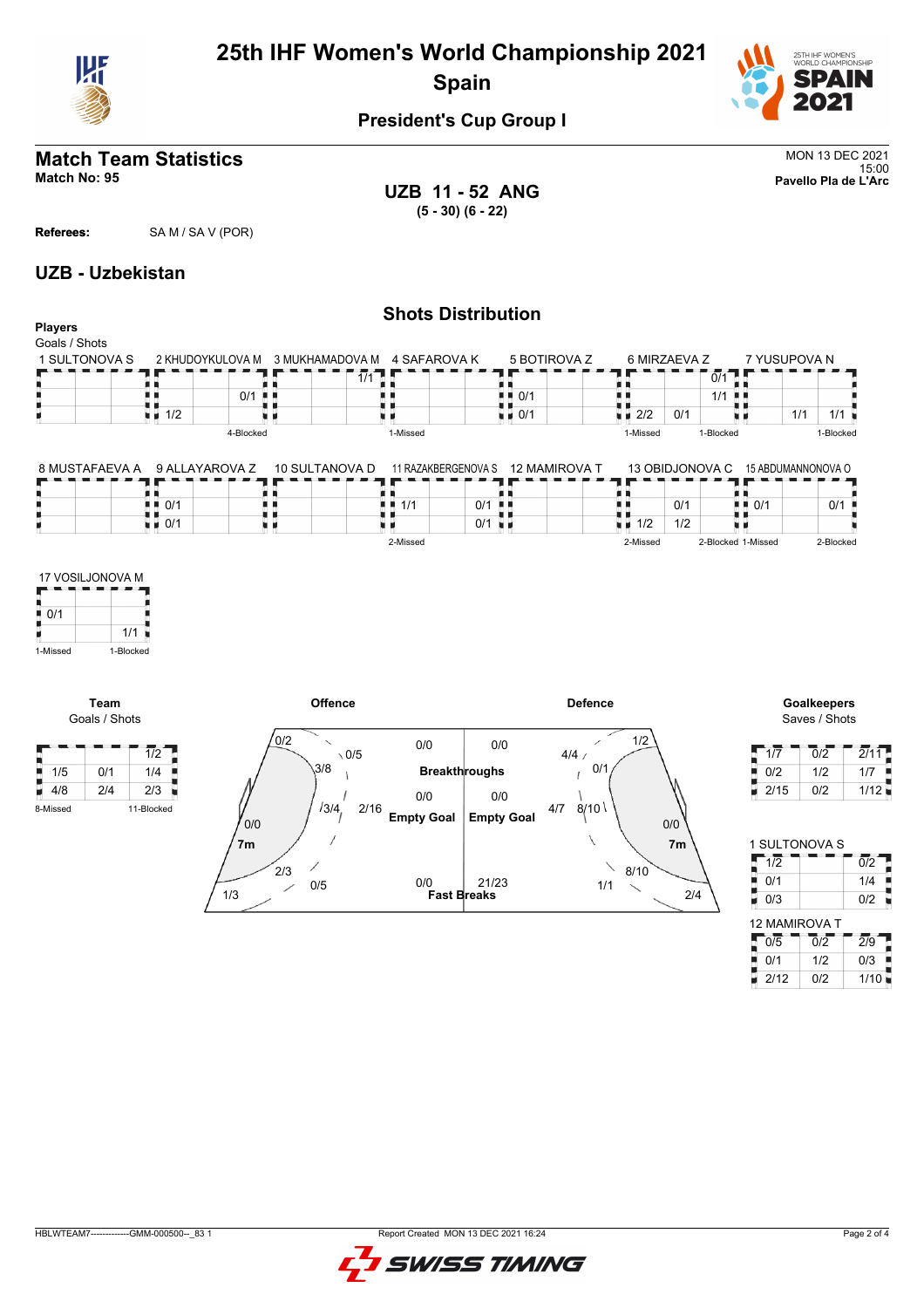

## **25th IHF Women's World Championship 2021 Spain**



#### **President's Cup Group I**

### **Match Team Statistics** MON 13 DEC 2021

**UZB 11 - 52 ANG (5 - 30) (6 - 22)**

15:00 **Match No: 95 Pavello Pla de L'Arc**

**Referees:** SA M / SA V (POR)

#### **UZB - Uzbekistan**

#### **Shots Distribution Players** Goals / Shots<br>1 SULTONOVA S 5 BOTIROVA Z 6 MIRZAEVA Z 7 YUSUPOVA N 1 SULTONOVA S 2 KHUDOYKULOVA M 3 MUKHAMADOVA M 4 SAFAROVA K  $\frac{1}{0/1}$  $\blacksquare$  $1/1$ 89 89, R R  $\begin{array}{c} 1 \\ 1 \\ 2 \end{array}$ <br> $\begin{array}{c} 1 \\ 2 \end{array}$  $1/1$ 0/1 机电 I) 机机  $\blacksquare$  0/1  $\frac{1}{2}$  2/2 0/1  $1/1$   $1/1$ υø xв 0/1 ХX. × 4-Blocked 1-Missed 1-Missed 1-Blocked 1-Blocked 8 MUSTAFAEVA A 9 ALLAYAROVA Z 10 SULTANOVA D 11 RAZAKBERGENOVA S 12 MAMIROVA T 13 OBIDJONOVA C 15 ABDUMANNONOVA O t e a e Г ٦F Ŧ. F  $\begin{array}{|c|c|c|}\n\hline\n\text{1} & 1/1 & \text{O/1} \\
\hline\n\text{1} & 1/1 & \text{O/1} \\
\hline\n\text{2} & \text{O/1} & \text{O/1} \\
\hline\n\end{array}$ ii<br>Si ł.  $\frac{1}{1}$  0/1 0/1 ×в H 0/1 ■ 0/1  $\frac{0/1}{0/1}$  $\frac{1}{1/2}$   $\frac{1}{1/2}$ ■ 0/1 2-Missed 2-Missed 2-Blocked 1-Missed 2-Blocked 17 VOSILJONOVA M F ņ  $\overline{0/1}$ 1/1 ۲ 1-Missed 1-Blocked **Offence Defence Goalkeepers Team** Goals / Shots Saves / Shots /0/2 1/2 0/0 0/0  $\blacksquare$  1/2  $\blacksquare$  $\frac{1}{2}$  1/7 0/2 2/11  $\sqrt{0/5}$  $4/4 /$ 3/8 0/1  $1/2$   $1/7$ 1/5 0/1 1/4 **Breakthroughs**  $0/2$  1/12  $4/8$  2/4 2/3 0/0 0/0 3/4 2/16 4/7 8/10 8-Missed 11-Blocked **Empty Goal Empty Goal** 0/0 0/0 IOVA S **7m 7m**  $\overline{0/2}$  1  $~2/3$ 8/10 0/0 21/23 0/5 1/1



|         |     |            |       | 3/8   |                           |                      |     | 0/1                |     |            |
|---------|-----|------------|-------|-------|---------------------------|----------------------|-----|--------------------|-----|------------|
| 1/5     | 0/1 | 1/4        |       |       |                           | <b>Breakthroughs</b> |     |                    |     | ĵ<br>0/2   |
| 4/8     | 2/4 | 2/3        |       |       | 0/0                       | $0/0$                |     |                    |     | 2/15<br>ø. |
| -Missed |     | 11-Blocked |       | 13/4, | 2/16<br><b>Empty Goal</b> | <b>Empty Goal</b>    | 4/7 | 8/10               |     |            |
|         |     |            | 0/0   |       |                           |                      |     |                    | 0/0 |            |
|         |     |            | 7m    |       |                           |                      |     | N                  | 7m  | 1 SULTON   |
|         |     |            |       |       |                           |                      |     | $\diagdown$        |     | 1/2        |
|         |     |            | $2/3$ |       | 0/0                       | 21/23                |     | 8/10               |     | 0/1<br>ij  |
|         |     |            | 1/3   | $0/5$ | <b>Fast Breaks</b>        |                      |     | $1/1$<br>$\diagup$ | 2/4 | ē<br>0/3   |
|         |     |            |       |       |                           |                      |     |                    |     |            |
|         |     |            |       |       |                           |                      |     |                    |     | 12 MAMIR   |
|         |     |            |       |       |                           |                      |     |                    |     | 0/5<br>J   |
|         |     |            |       |       |                           |                      |     |                    |     | 0/1<br>۰   |
|         |     |            |       |       |                           |                      |     |                    |     | 2/12<br>U. |
|         |     |            |       |       |                           |                      |     |                    |     |            |
|         |     |            |       |       |                           |                      |     |                    |     |            |
|         |     |            |       |       |                           |                      |     |                    |     |            |
|         |     |            |       |       |                           |                      |     |                    |     |            |
|         |     |            |       |       |                           |                      |     |                    |     |            |
|         |     |            |       |       |                           |                      |     |                    |     |            |
|         |     |            |       |       |                           |                      |     |                    |     |            |
|         |     |            |       |       |                           |                      |     |                    |     |            |
|         |     |            |       |       |                           |                      |     |                    |     |            |
|         |     |            |       |       |                           |                      |     |                    |     |            |
|         |     |            |       |       |                           |                      |     |                    |     |            |
|         |     |            |       |       |                           |                      |     |                    |     |            |

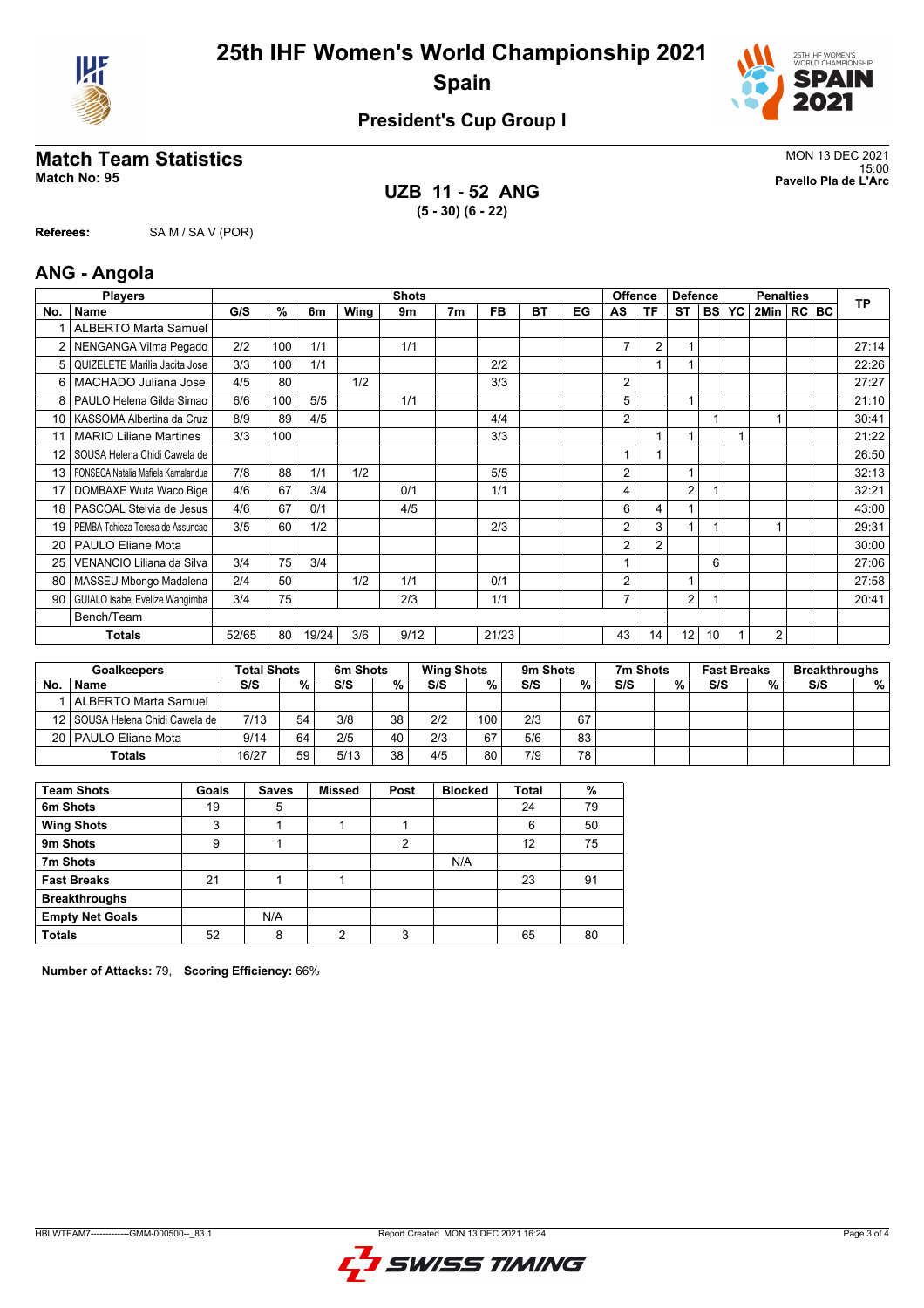



#### **President's Cup Group I**

### **Match Team Statistics** MON 13 DEC 2021

**Referees:** SA M / SA V (POR)

**UZB 11 - 52 ANG (5 - 30) (6 - 22)**

15:00 **Match No: 95 Pavello Pla de L'Arc**

|     | <b>ANG - Angola</b>                 |       |     |                |             |              |                |           |           |    |                |                |                |                 |    |                  |  |           |
|-----|-------------------------------------|-------|-----|----------------|-------------|--------------|----------------|-----------|-----------|----|----------------|----------------|----------------|-----------------|----|------------------|--|-----------|
|     | <b>Players</b>                      |       |     |                |             | <b>Shots</b> |                |           |           |    |                | <b>Offence</b> | <b>Defence</b> |                 |    | <b>Penalties</b> |  | <b>TP</b> |
| No. | <b>Name</b>                         | G/S   | %   | 6 <sub>m</sub> | <b>Wing</b> | 9m           | 7 <sub>m</sub> | <b>FB</b> | <b>BT</b> | EG | AS             | <b>TF</b>      | <b>ST</b>      | <b>BS</b>       | YC | 2Min   RC   BC   |  |           |
|     | <b>ALBERTO Marta Samuel</b>         |       |     |                |             |              |                |           |           |    |                |                |                |                 |    |                  |  |           |
| 2   | NENGANGA Vilma Pegado               | 2/2   | 100 | 1/1            |             | 1/1          |                |           |           |    | $\overline{7}$ | $\overline{2}$ | 1              |                 |    |                  |  | 27:14     |
| 5   | QUIZELETE Marilia Jacita Jose       | 3/3   | 100 | 1/1            |             |              |                | 2/2       |           |    |                |                |                |                 |    |                  |  | 22:26     |
| 6   | MACHADO Juliana Jose                | 4/5   | 80  |                | 1/2         |              |                | 3/3       |           |    | 2              |                |                |                 |    |                  |  | 27:27     |
| 8   | PAULO Helena Gilda Simao            | 6/6   | 100 | 5/5            |             | 1/1          |                |           |           |    | 5              |                | 1              |                 |    |                  |  | 21:10     |
| 10  | KASSOMA Albertina da Cruz           | 8/9   | 89  | 4/5            |             |              |                | 4/4       |           |    | 2              |                |                |                 |    |                  |  | 30:41     |
| 11  | <b>MARIO Liliane Martines</b>       | 3/3   | 100 |                |             |              |                | 3/3       |           |    |                |                |                |                 |    |                  |  | 21:22     |
| 12  | SOUSA Helena Chidi Cawela de        |       |     |                |             |              |                |           |           |    |                |                |                |                 |    |                  |  | 26:50     |
| 13  | FONSECA Natalia Mafiela Kamalandua  | 7/8   | 88  | 1/1            | 1/2         |              |                | 5/5       |           |    | 2              |                | 1              |                 |    |                  |  | 32:13     |
| 17  | DOMBAXE Wuta Waco Bige              | 4/6   | 67  | 3/4            |             | 0/1          |                | 1/1       |           |    | 4              |                | $\overline{2}$ |                 |    |                  |  | 32:21     |
| 18  | PASCOAL Stelvia de Jesus            | 4/6   | 67  | 0/1            |             | 4/5          |                |           |           |    | 6              | 4              | 1              |                 |    |                  |  | 43:00     |
| 19  | PEMBA Tchieza Teresa de Assuncao    | 3/5   | 60  | 1/2            |             |              |                | 2/3       |           |    | 2              | 3              | 1              |                 |    |                  |  | 29:31     |
| 20  | <b>PAULO Eliane Mota</b>            |       |     |                |             |              |                |           |           |    | 2              | $\overline{2}$ |                |                 |    |                  |  | 30:00     |
| 25  | VENANCIO Liliana da Silva           | 3/4   | 75  | 3/4            |             |              |                |           |           |    |                |                |                | 6               |    |                  |  | 27:06     |
| 80  | MASSEU Mbongo Madalena              | 2/4   | 50  |                | 1/2         | 1/1          |                | 0/1       |           |    | 2              |                | 1              |                 |    |                  |  | 27:58     |
|     | 90   GUIALO Isabel Evelize Wangimba | 3/4   | 75  |                |             | 2/3          |                | 1/1       |           |    | $\overline{7}$ |                | $\overline{2}$ |                 |    |                  |  | 20:41     |
|     | Bench/Team                          |       |     |                |             |              |                |           |           |    |                |                |                |                 |    |                  |  |           |
|     | <b>Totals</b>                       | 52/65 | 80  | 19/24          | 3/6         | 9/12         |                | 21/23     |           |    | 43             | 14             | 12             | 10 <sup>1</sup> |    | $\overline{2}$   |  |           |

|     | <b>Goalkeepers</b>                | <b>Total Shots</b> |    | 6m Shots |    | <b>Wing Shots</b> |     | 9 <sub>m</sub> Shots |    | 7m Shots |   | <b>Fast Breaks</b> |   | <b>Breakthroughs</b> |      |
|-----|-----------------------------------|--------------------|----|----------|----|-------------------|-----|----------------------|----|----------|---|--------------------|---|----------------------|------|
| No. | <b>Name</b>                       | S/S                | %  | S/S      | %  | S/S               | %   | S/S                  | %  | S/S      | % | S/S                | % | S/S                  | $\%$ |
|     | ALBERTO Marta Samuel              |                    |    |          |    |                   |     |                      |    |          |   |                    |   |                      |      |
|     | 12   SOUSA Helena Chidi Cawela de | 7/13               | 54 | 3/8      | 38 | 2/2               | 100 | 2/3                  | 67 |          |   |                    |   |                      |      |
|     | 20   PAULO Eliane Mota            | 9/14               | 64 | 2/5      | 40 | 2/3               | 67  | 5/6                  | 83 |          |   |                    |   |                      |      |
|     | <b>Totals</b>                     | 16/27              | 59 | 5/13     | 38 | 4/5               | 80  | 7/9                  | 78 |          |   |                    |   |                      |      |

| <b>Team Shots</b>      | Goals | <b>Saves</b> | <b>Missed</b> | Post | <b>Blocked</b> | <b>Total</b> | %  |
|------------------------|-------|--------------|---------------|------|----------------|--------------|----|
| 6m Shots               | 19    | 5            |               |      |                | 24           | 79 |
| <b>Wing Shots</b>      | 3     |              |               |      |                | 6            | 50 |
| 9m Shots               | 9     |              |               | 2    |                | 12           | 75 |
| 7m Shots               |       |              |               |      | N/A            |              |    |
| <b>Fast Breaks</b>     | 21    |              |               |      |                | 23           | 91 |
| <b>Breakthroughs</b>   |       |              |               |      |                |              |    |
| <b>Empty Net Goals</b> |       | N/A          |               |      |                |              |    |
| <b>Totals</b>          | 52    | 8            | 2             | 3    |                | 65           | 80 |

**Number of Attacks:** 79, **Scoring Efficiency:** 66%